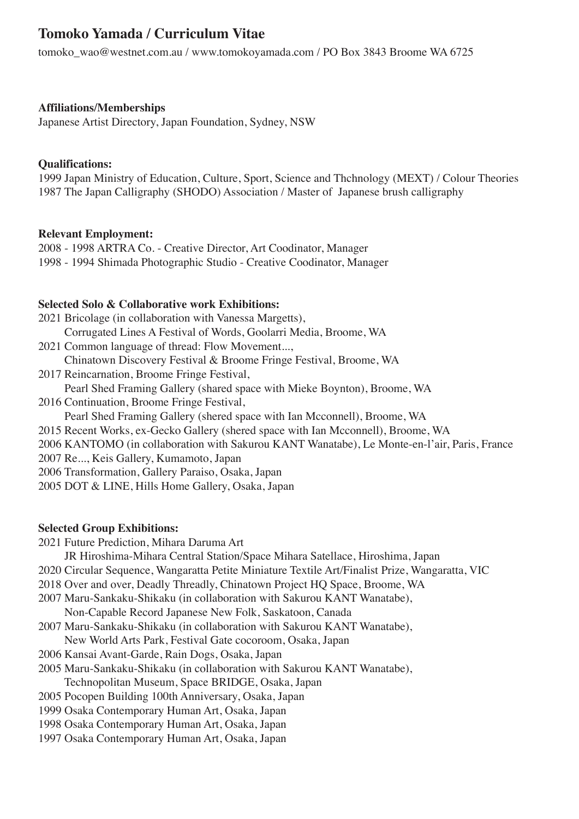# **Tomoko Yamada / Curriculum Vitae**

tomoko\_wao@westnet.com.au / www.tomokoyamada.com / PO Box 3843 Broome WA 6725

# **Affiliations/Memberships**

Japanese Artist Directory, Japan Foundation, Sydney, NSW

## **Qualifications:**

1999 Japan Ministry of Education, Culture, Sport, Science and Thchnology (MEXT) / Colour Theories 1987 The Japan Calligraphy (SHODO) Association / Master of Japanese brush calligraphy

# **Relevant Employment:**

2008 - 1998 ARTRA Co. - Creative Director, Art Coodinator, Manager 1998 - 1994 Shimada Photographic Studio - Creative Coodinator, Manager

# **Selected Solo & Collaborative work Exhibitions:**

- 2021 Bricolage (in collaboration with Vanessa Margetts), Corrugated Lines A Festival of Words, Goolarri Media, Broome, WA
- 2021 Common language of thread: Flow Movement...,
- Chinatown Discovery Festival & Broome Fringe Festival, Broome, WA
- 2017 Reincarnation, Broome Fringe Festival,
- Pearl Shed Framing Gallery (shared space with Mieke Boynton), Broome, WA
- 2016 Continuation, Broome Fringe Festival,

Pearl Shed Framing Gallery (shered space with Ian Mcconnell), Broome, WA

- 2015 Recent Works, ex-Gecko Gallery (shered space with Ian Mcconnell), Broome, WA
- 2006 KANTOMO (in collaboration with Sakurou KANT Wanatabe), Le Monte-en-l'air, Paris, France
- 2007 Re..., Keis Gallery, Kumamoto, Japan
- 2006 Transformation, Gallery Paraiso, Osaka, Japan
- 2005 DOT & LINE, Hills Home Gallery, Osaka, Japan

## **Selected Group Exhibitions:**

- 2021 Future Prediction, Mihara Daruma Art
	- JR Hiroshima-Mihara Central Station/Space Mihara Satellace, Hiroshima, Japan
- 2020 Circular Sequence, Wangaratta Petite Miniature Textile Art/Finalist Prize, Wangaratta, VIC
- 2018 Over and over, Deadly Threadly, Chinatown Project HQ Space, Broome, WA
- 2007 Maru-Sankaku-Shikaku (in collaboration with Sakurou KANT Wanatabe),
- Non-Capable Record Japanese New Folk, Saskatoon, Canada
- 2007 Maru-Sankaku-Shikaku (in collaboration with Sakurou KANT Wanatabe),
- New World Arts Park, Festival Gate cocoroom, Osaka, Japan
- 2006 Kansai Avant-Garde, Rain Dogs, Osaka, Japan
- 2005 Maru-Sankaku-Shikaku (in collaboration with Sakurou KANT Wanatabe),
- Technopolitan Museum, Space BRIDGE, Osaka, Japan
- 2005 Pocopen Building 100th Anniversary, Osaka, Japan
- 1999 Osaka Contemporary Human Art, Osaka, Japan
- 1998 Osaka Contemporary Human Art, Osaka, Japan
- 1997 Osaka Contemporary Human Art, Osaka, Japan